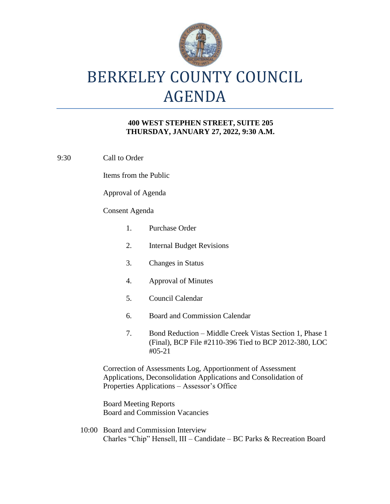

# BERKELEY COUNTY COUNCIL AGENDA

### **400 WEST STEPHEN STREET, SUITE 205 THURSDAY, JANUARY 27, 2022, 9:30 A.M.**

9:30 Call to Order

Items from the Public

Approval of Agenda

### Consent Agenda

|                                                                                                                                                                              | 1. | Purchase Order                                                                                                               |
|------------------------------------------------------------------------------------------------------------------------------------------------------------------------------|----|------------------------------------------------------------------------------------------------------------------------------|
|                                                                                                                                                                              | 2. | <b>Internal Budget Revisions</b>                                                                                             |
|                                                                                                                                                                              | 3. | <b>Changes in Status</b>                                                                                                     |
|                                                                                                                                                                              | 4. | Approval of Minutes                                                                                                          |
|                                                                                                                                                                              | 5. | Council Calendar                                                                                                             |
|                                                                                                                                                                              | 6. | <b>Board and Commission Calendar</b>                                                                                         |
|                                                                                                                                                                              | 7. | Bond Reduction – Middle Creek Vistas Section 1, Phase 1<br>(Final), BCP File #2110-396 Tied to BCP 2012-380, LOC<br>$#05-21$ |
| Correction of Assessments Log, Apportionment of Assessment<br>Applications, Deconsolidation Applications and Consolidation of<br>Properties Applications – Assessor's Office |    |                                                                                                                              |
| Roard Mooting Reports                                                                                                                                                        |    |                                                                                                                              |

Board Meeting Reports Board and Commission Vacancies

10:00 Board and Commission Interview Charles "Chip" Hensell, III – Candidate – BC Parks & Recreation Board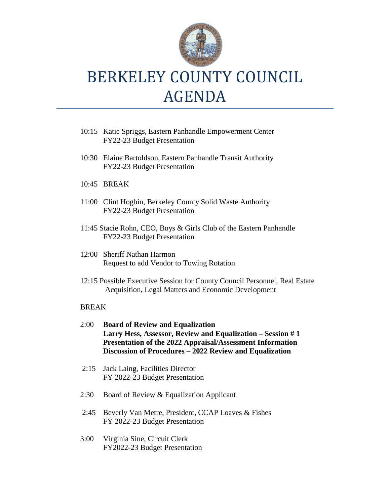

## BERKELEY COUNTY COUNCIL AGENDA

- 10:15 Katie Spriggs, Eastern Panhandle Empowerment Center FY22-23 Budget Presentation
- 10:30 Elaine Bartoldson, Eastern Panhandle Transit Authority FY22-23 Budget Presentation
- 10:45 BREAK
- 11:00 Clint Hogbin, Berkeley County Solid Waste Authority FY22-23 Budget Presentation
- 11:45 Stacie Rohn, CEO, Boys & Girls Club of the Eastern Panhandle FY22-23 Budget Presentation
- 12:00 Sheriff Nathan Harmon Request to add Vendor to Towing Rotation
- 12:15 Possible Executive Session for County Council Personnel, Real Estate Acquisition, Legal Matters and Economic Development

### BREAK

- 2:00 **Board of Review and Equalization Larry Hess, Assessor, Review and Equalization – Session # 1 Presentation of the 2022 Appraisal/Assessment Information Discussion of Procedures – 2022 Review and Equalization**
- 2:15 Jack Laing, Facilities Director FY 2022-23 Budget Presentation
- 2:30 Board of Review & Equalization Applicant
- 2:45 Beverly Van Metre, President, CCAP Loaves & Fishes FY 2022-23 Budget Presentation
- 3:00 Virginia Sine, Circuit Clerk FY2022-23 Budget Presentation